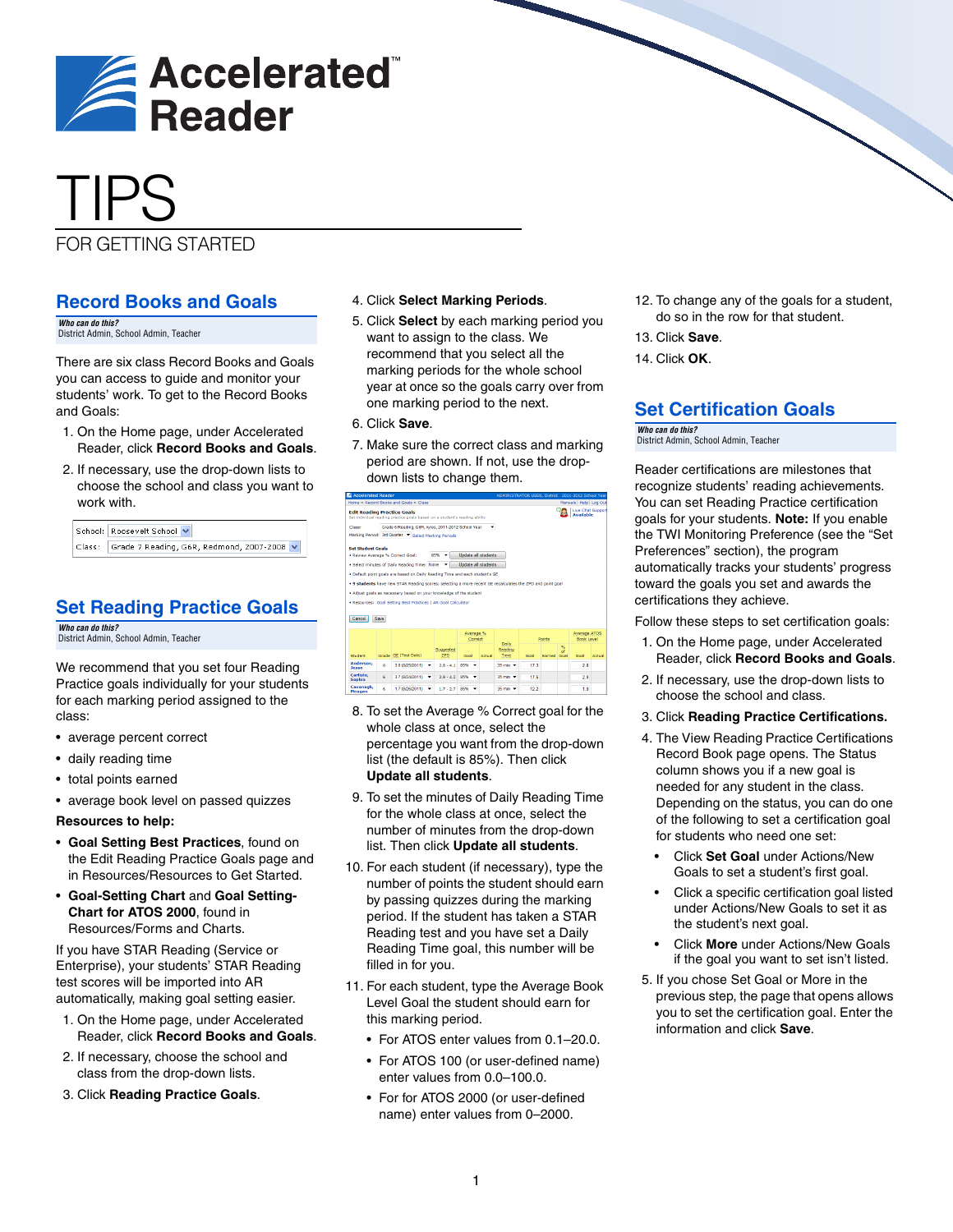

# TIPS

# FOR GETTING STARTED

#### **Record Books and Goals**

*Who can do this?*  District Admin, School Admin, Teacher

There are six class Record Books and Goals you can access to guide and monitor your students' work. To get to the Record Books and Goals:

- 1. On the Home page, under Accelerated Reader, click **Record Books and Goals**.
- 2. If necessary, use the drop-down lists to choose the school and class you want to work with.

| School: Roosevelt School v                        |  |
|---------------------------------------------------|--|
| Class: Grade 7 Reading, G6R, Redmond, 2007-2008 v |  |

# **Set Reading Practice Goals**

*Who can do this?*  District Admin, School Admin, Teacher

We recommend that you set four Reading Practice goals individually for your students for each marking period assigned to the class:

- average percent correct
- daily reading time
- total points earned
- average book level on passed quizzes

**Resources to help:**

- **Goal Setting Best Practices**, found on the Edit Reading Practice Goals page and in Resources/Resources to Get Started.
- **Goal-Setting Chart** and **Goal Setting-Chart for ATOS 2000**, found in Resources/Forms and Charts.

If you have STAR Reading (Service or Enterprise), your students' STAR Reading test scores will be imported into AR automatically, making goal setting easier.

- 1. On the Home page, under Accelerated Reader, click **Record Books and Goals**.
- 2. If necessary, choose the school and class from the drop-down lists.
- 3. Click **Reading Practice Goals**.

#### 4. Click **Select Marking Periods**.

- 5. Click **Select** by each marking period you want to assign to the class. We recommend that you select all the marking periods for the whole school year at once so the goals carry over from one marking period to the next.
- 6. Click **Save**.
- 7. Make sure the correct class and marking period are shown. If not, use the dropdown lists to change them.

|                                    |                                                    | Home > Record Books and Goals > Class                                                                     |                 |                            |        |                                        |                 |             |         | Manuals Help Log Out                  |        |
|------------------------------------|----------------------------------------------------|-----------------------------------------------------------------------------------------------------------|-----------------|----------------------------|--------|----------------------------------------|-----------------|-------------|---------|---------------------------------------|--------|
| <b>Edit Reading Practice Goals</b> |                                                    | Set individual reading practice goals based on a student's reading ability                                |                 |                            |        |                                        |                 |             |         | Live Chat Support<br><b>Available</b> |        |
| Class:                             | Grade 6 Reading, G6R, Ayres, 2011-2012 School Year |                                                                                                           |                 |                            |        |                                        |                 |             |         |                                       |        |
|                                    |                                                    | Marking Period: 3rd Quarter V Select Marking Periods                                                      |                 |                            |        |                                        |                 |             |         |                                       |        |
| <b>Set Student Goals</b>           |                                                    |                                                                                                           |                 |                            |        |                                        |                 |             |         |                                       |        |
|                                    |                                                    | . Review Average % Correct Goal:                                                                          | 85%             | <b>Undate all students</b> |        |                                        |                 |             |         |                                       |        |
|                                    |                                                    | . Select minutes of Daily Reading Time: None                                                              |                 | <b>Undate all students</b> |        |                                        |                 |             |         |                                       |        |
|                                    |                                                    | . Default point goals are based on Daily Reading Time and each student's GE                               |                 |                            |        |                                        |                 |             |         |                                       |        |
|                                    |                                                    | . 9 students have new STAR Reading scores: selecting a more recent GE recalculates the ZPD and point goal |                 |                            |        |                                        |                 |             |         |                                       |        |
|                                    |                                                    |                                                                                                           |                 |                            |        |                                        |                 |             |         |                                       |        |
|                                    |                                                    |                                                                                                           |                 |                            |        |                                        |                 |             |         |                                       |        |
|                                    |                                                    | . Adjust goals as necessary based on your knowledge of the student                                        |                 |                            |        |                                        |                 |             |         |                                       |        |
|                                    |                                                    |                                                                                                           |                 |                            |        |                                        |                 |             |         |                                       |        |
|                                    |                                                    | . Resources: Goal Setting Best Practices I AR Goal Calculator                                             |                 |                            |        |                                        |                 |             |         |                                       |        |
|                                    |                                                    |                                                                                                           |                 |                            |        |                                        |                 |             |         |                                       |        |
|                                    | Saw                                                |                                                                                                           |                 |                            |        |                                        |                 |             |         |                                       |        |
| Cancel                             |                                                    |                                                                                                           |                 |                            |        |                                        |                 |             |         |                                       |        |
|                                    |                                                    |                                                                                                           |                 |                            |        |                                        |                 |             |         |                                       |        |
|                                    |                                                    |                                                                                                           |                 | Average %<br>Correct       |        |                                        |                 | Points      |         | Average ATOS<br><b>Book Level</b>     |        |
|                                    |                                                    |                                                                                                           |                 |                            |        | Daily.                                 |                 |             |         |                                       |        |
|                                    |                                                    |                                                                                                           | Suggested       |                            |        | Reading                                |                 |             | 帖<br>οÉ |                                       |        |
| Student                            |                                                    | Grade GE (Test Date)                                                                                      | <b>ZPD</b>      | Goal                       | Actual | Time                                   | Goal            | Earned Goal |         | Goal                                  |        |
| Anderson.<br>Inssn                 | ñ.                                                 | 3.6 (8/25/2011) -                                                                                         | $2.8 - 4.1$     | 85%<br>٠                   |        | $35 \text{ min}$ $\blacktriangleright$ | 173             |             |         | 28                                    |        |
| Carlisle.<br>Sophia                | Ŕ.                                                 | 3.7 (8/24/2011)<br>٠                                                                                      | $2.9 - 4.2$ 85% | ٠                          |        | $35 \text{ min}$ $\rightarrow$         | 17 <sub>6</sub> |             |         | 2.9                                   | Actual |

- 8. To set the Average % Correct goal for the whole class at once, select the percentage you want from the drop-down list (the default is 85%). Then click **Update all students**.
- 9. To set the minutes of Daily Reading Time for the whole class at once, select the number of minutes from the drop-down list. Then click **Update all students**.
- 10. For each student (if necessary), type the number of points the student should earn by passing quizzes during the marking period. If the student has taken a STAR Reading test and you have set a Daily Reading Time goal, this number will be filled in for you.
- 11. For each student, type the Average Book Level Goal the student should earn for this marking period.
	- For ATOS enter values from 0.1–20.0.
	- For ATOS 100 (or user-defined name) enter values from 0.0–100.0.
	- For for ATOS 2000 (or user-defined name) enter values from 0–2000.
- 12. To change any of the goals for a student, do so in the row for that student.
- 13. Click **Save**.
- 14. Click **OK**.

## **Set Certification Goals**

*Who can do this?*  District Admin, School Admin, Teacher

Reader certifications are milestones that recognize students' reading achievements. You can set Reading Practice certification goals for your students. **Note:** If you enable the TWI Monitoring Preference (see the ["Set](#page-1-0)  [Preferences"](#page-1-0) section), the program automatically tracks your students' progress toward the goals you set and awards the certifications they achieve.

Follow these steps to set certification goals:

- 1. On the Home page, under Accelerated Reader, click **Record Books and Goals**.
- 2. If necessary, use the drop-down lists to choose the school and class.
- 3. Click **Reading Practice Certifications.**
- 4. The View Reading Practice Certifications Record Book page opens. The Status column shows you if a new goal is needed for any student in the class. Depending on the status, you can do one of the following to set a certification goal for students who need one set:
	- Click **Set Goal** under Actions/New Goals to set a student's first goal.
	- Click a specific certification goal listed under Actions/New Goals to set it as the student's next goal.
	- Click **More** under Actions/New Goals if the goal you want to set isn't listed.
- 5. If you chose Set Goal or More in the previous step, the page that opens allows you to set the certification goal. Enter the information and click **Save**.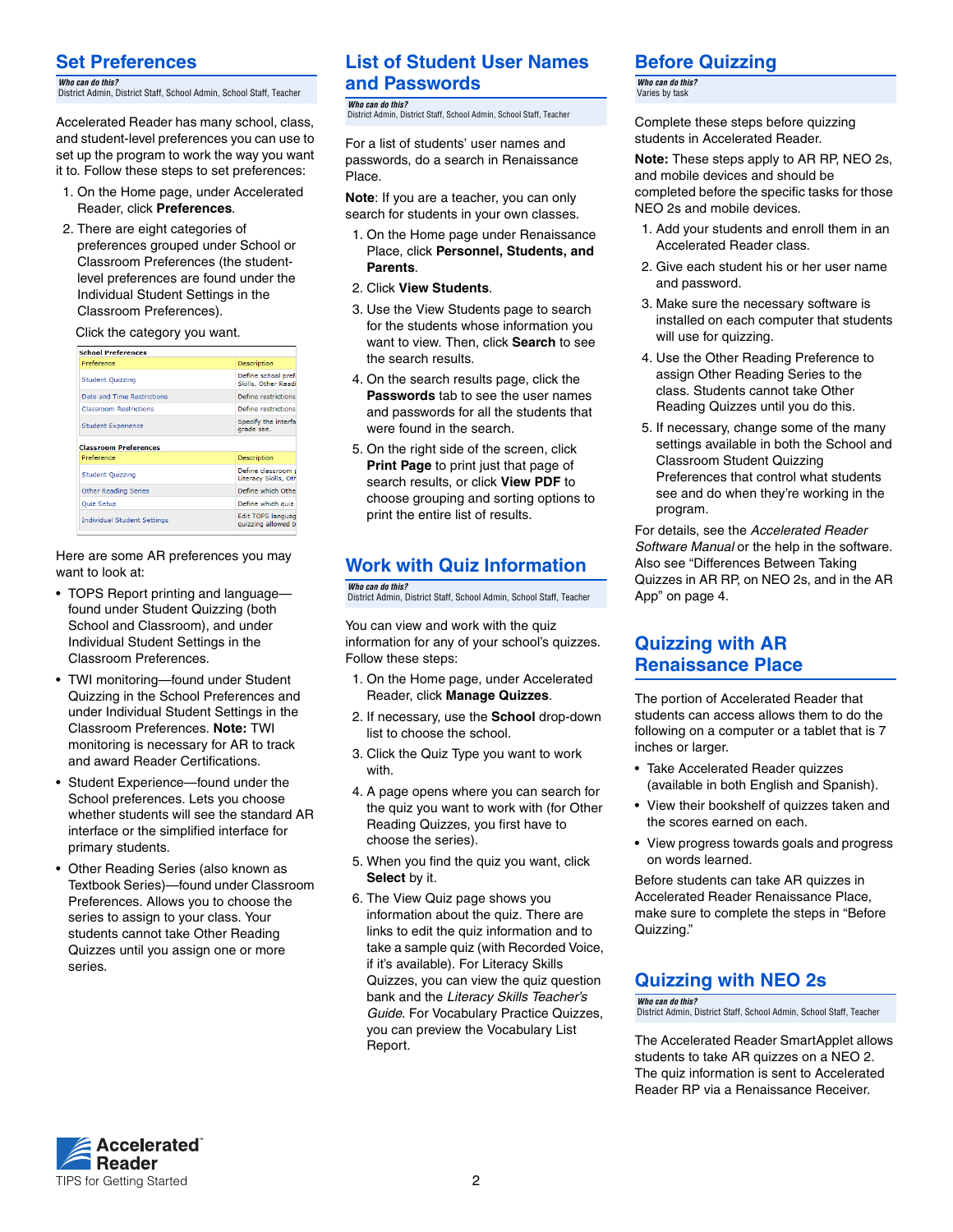# <span id="page-1-0"></span>**Set Preferences**

*Who can do this?*  District Admin, District Staff, School Admin, School Staff, Teacher

Accelerated Reader has many school, class, and student-level preferences you can use to set up the program to work the way you want it to. Follow these steps to set preferences:

- 1. On the Home page, under Accelerated Reader, click **Preferences**.
- 2. There are eight categories of preferences grouped under School or Classroom Preferences (the studentlevel preferences are found under the Individual Student Settings in the Classroom Preferences).

#### Click the category you want.

| <b>School Preferences</b>     |                                           |
|-------------------------------|-------------------------------------------|
| Preference                    | <b>Description</b>                        |
| <b>Student Ouizzing</b>       | Define school pref<br>Skills, Other Readi |
| Date and Time Restrictions    | Define restrictions                       |
| <b>Classroom Restrictions</b> | Define restrictions                       |
| <b>Student Experience</b>     | Specify the interfa<br>grade see.         |
| <b>Classroom Preferences</b>  |                                           |
| Preference                    | Description                               |
| <b>Student Quizzing</b>       | Define classroom<br>Literacy Skills, Oth  |
| <b>Other Reading Series</b>   | Define which Othe                         |
| Quiz Setup                    | Define which quiz                         |
|                               |                                           |

Here are some AR preferences you may want to look at:

- TOPS Report printing and language found under Student Quizzing (both School and Classroom), and under Individual Student Settings in the Classroom Preferences.
- TWI monitoring—found under Student Quizzing in the School Preferences and under Individual Student Settings in the Classroom Preferences. **Note:** TWI monitoring is necessary for AR to track and award Reader Certifications.
- Student Experience—found under the School preferences. Lets you choose whether students will see the standard AR interface or the simplified interface for primary students.
- Other Reading Series (also known as Textbook Series)—found under Classroom Preferences. Allows you to choose the series to assign to your class. Your students cannot take Other Reading Quizzes until you assign one or more series.

## **List of Student User Names and Passwords**

*Who can do this?*  .....<br>1. District Staff, School Admin, School Staff, Teacher

For a list of students' user names and passwords, do a search in Renaissance Place.

**Note**: If you are a teacher, you can only search for students in your own classes.

- 1. On the Home page under Renaissance Place, click **Personnel, Students, and Parents**.
- 2. Click **View Students**.
- 3. Use the View Students page to search for the students whose information you want to view. Then, click **Search** to see the search results.
- 4. On the search results page, click the **Passwords** tab to see the user names and passwords for all the students that were found in the search.
- 5. On the right side of the screen, click **Print Page** to print just that page of search results, or click **View PDF** to choose grouping and sorting options to print the entire list of results.

# **Work with Quiz Information**

*Who can do this?*  District Admin, District Staff, School Admin, School Staff, Teacher

You can view and work with the quiz information for any of your school's quizzes. Follow these steps:

- 1. On the Home page, under Accelerated Reader, click **Manage Quizzes**.
- 2. If necessary, use the **School** drop-down list to choose the school.
- 3. Click the Quiz Type you want to work with.
- 4. A page opens where you can search for the quiz you want to work with (for Other Reading Quizzes, you first have to choose the series).
- 5. When you find the quiz you want, click **Select** by it.
- 6. The View Quiz page shows you information about the quiz. There are links to edit the quiz information and to take a sample quiz (with Recorded Voice, if it's available). For Literacy Skills Quizzes, you can view the quiz question bank and the *Literacy Skills Teacher's Guide*. For Vocabulary Practice Quizzes, you can preview the Vocabulary List Report.

### <span id="page-1-1"></span>**Before Quizzing**

*Who can do this?*  Varies by task

Complete these steps before quizzing students in Accelerated Reader.

**Note:** These steps apply to AR RP, NEO 2s, and mobile devices and should be completed before the specific tasks for those NEO 2s and mobile devices.

- 1. Add your students and enroll them in an Accelerated Reader class.
- 2. Give each student his or her user name and password.
- 3. Make sure the necessary software is installed on each computer that students will use for quizzing.
- 4. Use the Other Reading Preference to assign Other Reading Series to the class. Students cannot take Other Reading Quizzes until you do this.
- 5. If necessary, change some of the many settings available in both the School and Classroom Student Quizzing Preferences that control what students see and do when they're working in the program.

For details, see the *Accelerated Reader Software Manual* or the help in the software. Also see ["Differences Between Taking](#page-3-0)  [Quizzes in AR RP, on NEO 2s, and in the AR](#page-3-0)  [App" on page 4](#page-3-0).

#### **Quizzing with AR Renaissance Place**

The portion of Accelerated Reader that students can access allows them to do the following on a computer or a tablet that is 7 inches or larger.

- Take Accelerated Reader quizzes (available in both English and Spanish).
- View their bookshelf of quizzes taken and the scores earned on each.
- View progress towards goals and progress on words learned.

Before students can take AR quizzes in Accelerated Reader Renaissance Place, make sure to complete the steps in "[Before](#page-1-1)  [Quizzing](#page-1-1)."

# **Quizzing with NEO 2s**

*Who can do this?*  District Admin, District Staff, School Admin, School Staff, Teacher

The Accelerated Reader SmartApplet allows students to take AR quizzes on a NEO 2. The quiz information is sent to Accelerated Reader RP via a Renaissance Receiver.

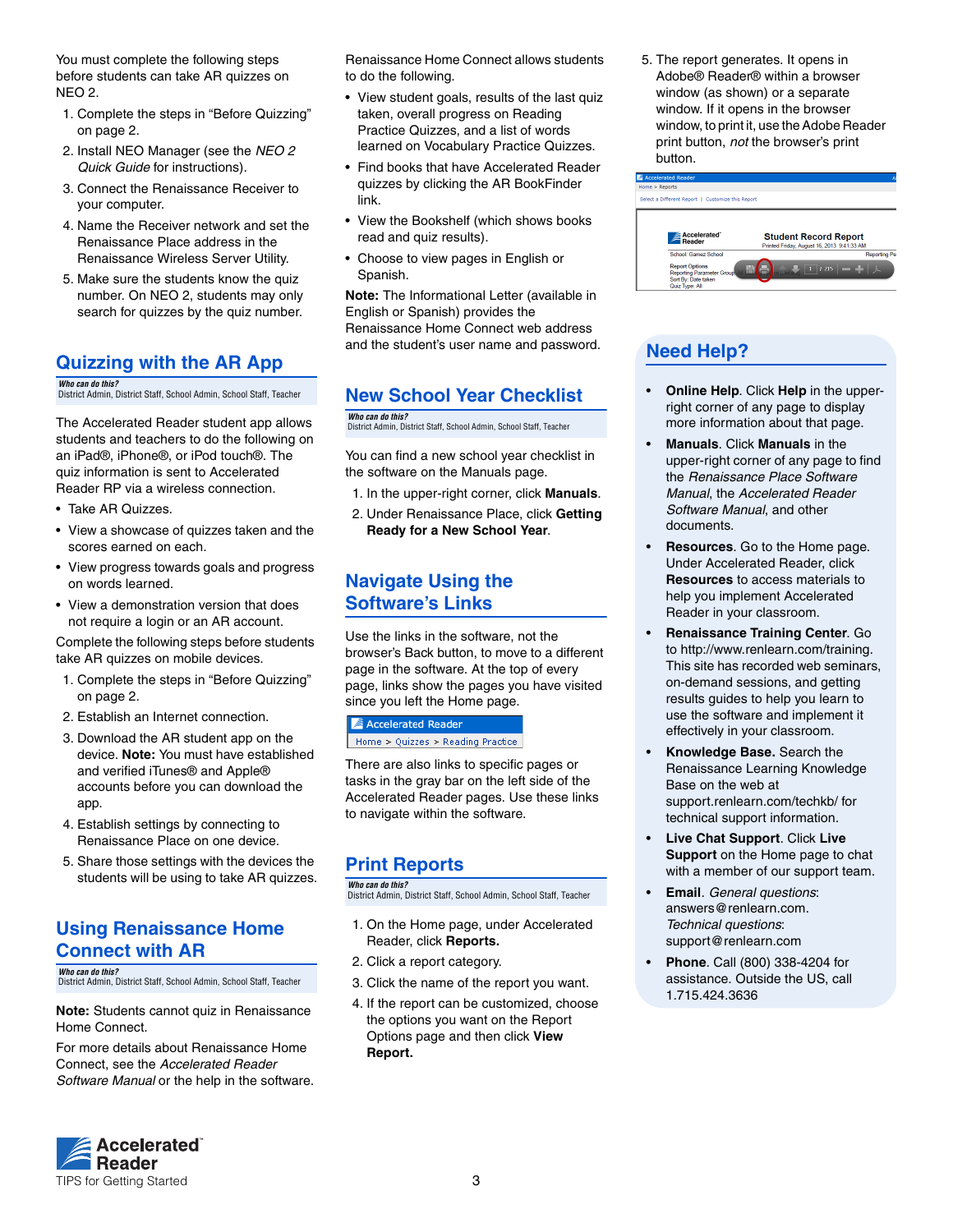You must complete the following steps before students can take AR quizzes on NEO 2.

- 1. Complete the steps in ["Before Quizzing"](#page-1-1)  [on page 2](#page-1-1).
- 2. Install NEO Manager (see the *NEO 2 Quick Guide* for instructions).
- 3. Connect the Renaissance Receiver to your computer.
- 4. Name the Receiver network and set the Renaissance Place address in the Renaissance Wireless Server Utility.
- 5. Make sure the students know the quiz number. On NEO 2, students may only search for quizzes by the quiz number.

# **Quizzing with the AR App**

*Who can do this?*  District Admin, District Staff, School Admin, School Staff, Teacher

The Accelerated Reader student app allows students and teachers to do the following on an iPad®, iPhone®, or iPod touch®. The quiz information is sent to Accelerated Reader RP via a wireless connection.

- Take AR Quizzes.
- View a showcase of quizzes taken and the scores earned on each.
- View progress towards goals and progress on words learned.
- View a demonstration version that does not require a login or an AR account.

Complete the following steps before students take AR quizzes on mobile devices.

- 1. Complete the steps in ["Before Quizzing"](#page-1-1)  [on page 2](#page-1-1).
- 2. Establish an Internet connection.
- 3. Download the AR student app on the device. **Note:** You must have established and verified iTunes® and Apple® accounts before you can download the app.
- 4. Establish settings by connecting to Renaissance Place on one device.
- 5. Share those settings with the devices the students will be using to take AR quizzes.

#### **Using Renaissance Home Connect with AR**

*Who can do this?*  District Admin, District Staff, School Admin, School Staff, Teacher

**Note:** Students cannot quiz in Renaissance Home Connect.

For more details about Renaissance Home Connect, see the *Accelerated Reader Software Manual* or the help in the software.

Renaissance Home Connect allows students to do the following.

- View student goals, results of the last quiz taken, overall progress on Reading Practice Quizzes, and a list of words learned on Vocabulary Practice Quizzes.
- Find books that have Accelerated Reader quizzes by clicking the AR BookFinder link.
- View the Bookshelf (which shows books read and quiz results).
- Choose to view pages in English or Spanish.

**Note:** The Informational Letter (available in English or Spanish) provides the Renaissance Home Connect web address and the student's user name and password.

# **New School Year Checklist**

*Who can do this?*  District Admin, District Staff, School Admin, School Staff, Teacher

You can find a new school year checklist in the software on the Manuals page.

- 1. In the upper-right corner, click **Manuals**.
- 2. Under Renaissance Place, click **Getting Ready for a New School Year**.

### **Navigate Using the Software's Links**

Use the links in the software, not the browser's Back button, to move to a different page in the software. At the top of every page, links show the pages you have visited since you left the Home page.

# **Accelerated Reader**

Home > Quizzes > Reading Practice

There are also links to specific pages or tasks in the gray bar on the left side of the Accelerated Reader pages. Use these links to navigate within the software.

# **Print Reports**

#### *Who can do this?*

District Admin, District Staff, School Admin, School Staff, Teacher

- 1. On the Home page, under Accelerated Reader, click **Reports.**
- 2. Click a report category.
- 3. Click the name of the report you want.
- 4. If the report can be customized, choose the options you want on the Report Options page and then click **View Report.**

5. The report generates. It opens in Adobe® Reader® within a browser window (as shown) or a separate window. If it opens in the browser window, to print it, use the Adobe Reader print button, *not* the browser's print button.



# **Need Help?**

- **Online Help**. Click **Help** in the upperright corner of any page to display more information about that page.
- **Manuals**. Click **Manuals** in the upper-right corner of any page to find the *Renaissance Place Software Manual*, the *Accelerated Reader Software Manual*, and other documents.
- **Resources**. Go to the Home page. Under Accelerated Reader, click **Resources** to access materials to help you implement Accelerated Reader in your classroom.
- **Renaissance Training Center**[. Go](http://www.renlearn.com/training)  to http://www.renlearn.com/training. [This site has recorded web seminars,](http://www.renlearn.com/training)  on-demand sessions, and getting results guides to help you learn to use the software and implement it effectively in your classroom.
- **Knowledge Base.** [Search the](support.renlearn.com/techkb/)  [Renaissance Learning Knowledge](support.renlearn.com/techkb/)  Base on the web at [support.renlearn.com/techkb/ for](http://support.renlearn.com/techkb/)  [technical support information.](http://support.renlearn.com/techkb/)
- **Live Chat Support**. Click **Live Support** on the Home page to chat with a member of our support team.
- **Email**. *General questions*[:](mailto:answers@renlearn.com)  [answers@renlearn.com.](mailto:answers@renlearn.com)  *Technical questions*[:](mailto:support@renlearn.com)  [support@renlearn.com](mailto:support@renlearn.com)
- **Phone**. Call (800) 338-4204 for assistance. Outside the US, call 1.715.424.3636